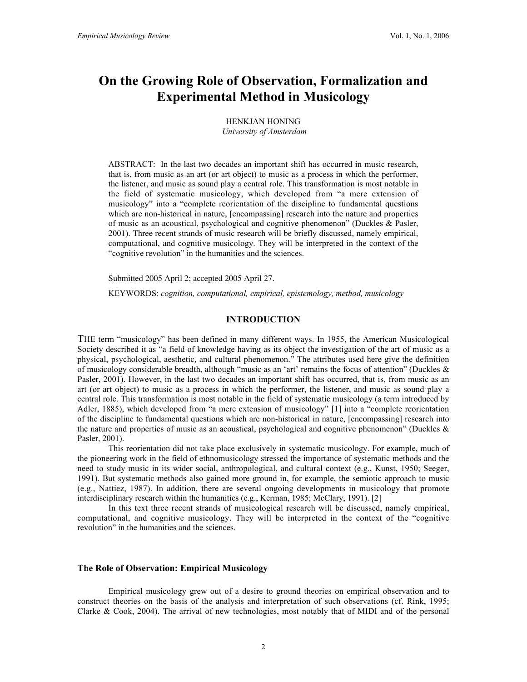# On the Growing Role of Observation, Formalization and Experimental Method in Musicology

HENKJAN HONING  *University of Amsterdam*

ABSTRACT: In the last two decades an important shift has occurred in music research, that is, from music as an art (or art object) to music as a process in which the performer, the listener, and music as sound play a central role. This transformation is most notable in the field of systematic musicology, which developed from "a mere extension of musicology" into a "complete reorientation of the discipline to fundamental questions which are non-historical in nature, [encompassing] research into the nature and properties of music as an acoustical, psychological and cognitive phenomenon" (Duckles & Pasler, 2001). Three recent strands of music research will be briefly discussed, namely empirical, computational, and cognitive musicology. They will be interpreted in the context of the "cognitive revolution" in the humanities and the sciences.

Submitted 2005 April 2; accepted 2005 April 27.

KEYWORDS: *cognition, computational, empirical, epistemology, method, musicology*

# INTRODUCTION

THE term "musicology" has been defined in many different ways. In 1955, the American Musicological Society described it as "a field of knowledge having as its object the investigation of the art of music as a physical, psychological, aesthetic, and cultural phenomenon." The attributes used here give the definition of musicology considerable breadth, although "music as an 'art' remains the focus of attention" (Duckles & Pasler, 2001). However, in the last two decades an important shift has occurred, that is, from music as an art (or art object) to music as a process in which the performer, the listener, and music as sound play a central role. This transformation is most notable in the field of systematic musicology (a term introduced by Adler, 1885), which developed from "a mere extension of musicology" [1] into a "complete reorientation of the discipline to fundamental questions which are non-historical in nature, [encompassing] research into the nature and properties of music as an acoustical, psychological and cognitive phenomenon" (Duckles  $\&$ Pasler, 2001).

This reorientation did not take place exclusively in systematic musicology. For example, much of the pioneering work in the field of ethnomusicology stressed the importance of systematic methods and the need to study music in its wider social, anthropological, and cultural context (e.g., Kunst, 1950; Seeger, 1991). But systematic methods also gained more ground in, for example, the semiotic approach to music (e.g., Nattiez, 1987). In addition, there are several ongoing developments in musicology that promote interdisciplinary research within the humanities (e.g., Kerman, 1985; McClary, 1991). [2]

In this text three recent strands of musicological research will be discussed, namely empirical, computational, and cognitive musicology. They will be interpreted in the context of the "cognitive revolution" in the humanities and the sciences.

# The Role of Observation: Empirical Musicology

Empirical musicology grew out of a desire to ground theories on empirical observation and to construct theories on the basis of the analysis and interpretation of such observations (cf. Rink, 1995; Clarke & Cook, 2004). The arrival of new technologies, most notably that of MIDI and of the personal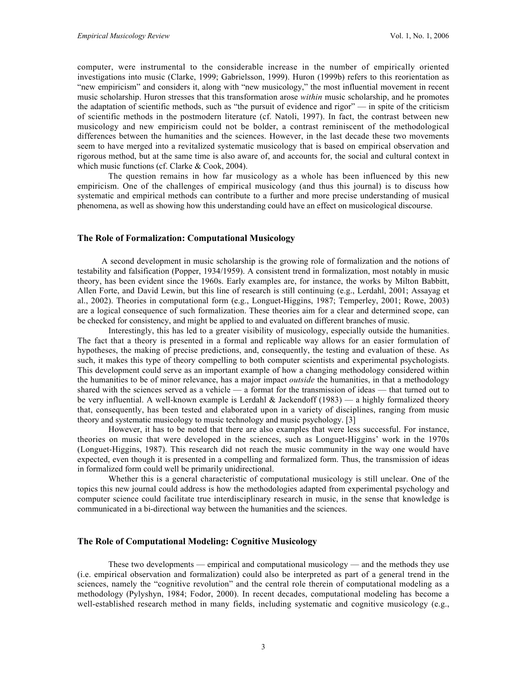computer, were instrumental to the considerable increase in the number of empirically oriented investigations into music (Clarke, 1999; Gabrielsson, 1999). Huron (1999b) refers to this reorientation as "new empiricism" and considers it, along with "new musicology," the most influential movement in recent music scholarship. Huron stresses that this transformation arose *within* music scholarship, and he promotes the adaptation of scientific methods, such as "the pursuit of evidence and rigor" — in spite of the criticism of scientific methods in the postmodern literature (cf. Natoli, 1997). In fact, the contrast between new musicology and new empiricism could not be bolder, a contrast reminiscent of the methodological differences between the humanities and the sciences. However, in the last decade these two movements seem to have merged into a revitalized systematic musicology that is based on empirical observation and rigorous method, but at the same time is also aware of, and accounts for, the social and cultural context in which music functions (cf. Clarke & Cook, 2004).

The question remains in how far musicology as a whole has been influenced by this new empiricism. One of the challenges of empirical musicology (and thus this journal) is to discuss how systematic and empirical methods can contribute to a further and more precise understanding of musical phenomena, as well as showing how this understanding could have an effect on musicological discourse.

#### The Role of Formalization: Computational Musicology

A second development in music scholarship is the growing role of formalization and the notions of testability and falsification (Popper, 1934/1959). A consistent trend in formalization, most notably in music theory, has been evident since the 1960s. Early examples are, for instance, the works by Milton Babbitt, Allen Forte, and David Lewin, but this line of research is still continuing (e.g., Lerdahl, 2001; Assayag et al., 2002). Theories in computational form (e.g., Longuet-Higgins, 1987; Temperley, 2001; Rowe, 2003) are a logical consequence of such formalization. These theories aim for a clear and determined scope, can be checked for consistency, and might be applied to and evaluated on different branches of music.

Interestingly, this has led to a greater visibility of musicology, especially outside the humanities. The fact that a theory is presented in a formal and replicable way allows for an easier formulation of hypotheses, the making of precise predictions, and, consequently, the testing and evaluation of these. As such, it makes this type of theory compelling to both computer scientists and experimental psychologists. This development could serve as an important example of how a changing methodology considered within the humanities to be of minor relevance, has a major impact *outside* the humanities, in that a methodology shared with the sciences served as a vehicle — a format for the transmission of ideas — that turned out to be very influential. A well-known example is Lerdahl & Jackendoff (1983) — a highly formalized theory that, consequently, has been tested and elaborated upon in a variety of disciplines, ranging from music theory and systematic musicology to music technology and music psychology. [3]

However, it has to be noted that there are also examples that were less successful. For instance, theories on music that were developed in the sciences, such as Longuet-Higgins' work in the 1970s (Longuet-Higgins, 1987). This research did not reach the music community in the way one would have expected, even though it is presented in a compelling and formalized form. Thus, the transmission of ideas in formalized form could well be primarily unidirectional.

Whether this is a general characteristic of computational musicology is still unclear. One of the topics this new journal could address is how the methodologies adapted from experimental psychology and computer science could facilitate true interdisciplinary research in music, in the sense that knowledge is communicated in a bi-directional way between the humanities and the sciences.

#### The Role of Computational Modeling: Cognitive Musicology

These two developments — empirical and computational musicology — and the methods they use (i.e. empirical observation and formalization) could also be interpreted as part of a general trend in the sciences, namely the "cognitive revolution" and the central role therein of computational modeling as a methodology (Pylyshyn, 1984; Fodor, 2000). In recent decades, computational modeling has become a well-established research method in many fields, including systematic and cognitive musicology (e.g.,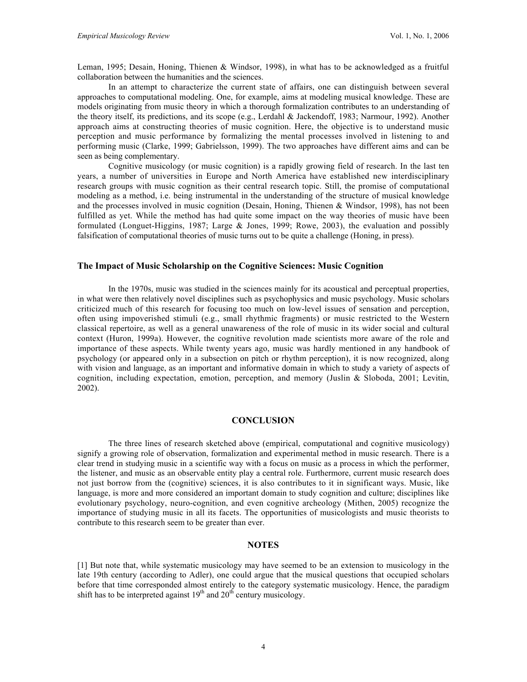Leman, 1995; Desain, Honing, Thienen & Windsor, 1998), in what has to be acknowledged as a fruitful collaboration between the humanities and the sciences.

In an attempt to characterize the current state of affairs, one can distinguish between several approaches to computational modeling. One, for example, aims at modeling musical knowledge. These are models originating from music theory in which a thorough formalization contributes to an understanding of the theory itself, its predictions, and its scope (e.g., Lerdahl & Jackendoff, 1983; Narmour, 1992). Another approach aims at constructing theories of music cognition. Here, the objective is to understand music perception and music performance by formalizing the mental processes involved in listening to and performing music (Clarke, 1999; Gabrielsson, 1999). The two approaches have different aims and can be seen as being complementary.

Cognitive musicology (or music cognition) is a rapidly growing field of research. In the last ten years, a number of universities in Europe and North America have established new interdisciplinary research groups with music cognition as their central research topic. Still, the promise of computational modeling as a method, i.e. being instrumental in the understanding of the structure of musical knowledge and the processes involved in music cognition (Desain, Honing, Thienen & Windsor, 1998), has not been fulfilled as yet. While the method has had quite some impact on the way theories of music have been formulated (Longuet-Higgins, 1987; Large & Jones, 1999; Rowe, 2003), the evaluation and possibly falsification of computational theories of music turns out to be quite a challenge (Honing, in press).

#### The Impact of Music Scholarship on the Cognitive Sciences: Music Cognition

In the 1970s, music was studied in the sciences mainly for its acoustical and perceptual properties, in what were then relatively novel disciplines such as psychophysics and music psychology. Music scholars criticized much of this research for focusing too much on low-level issues of sensation and perception, often using impoverished stimuli (e.g., small rhythmic fragments) or music restricted to the Western classical repertoire, as well as a general unawareness of the role of music in its wider social and cultural context (Huron, 1999a). However, the cognitive revolution made scientists more aware of the role and importance of these aspects. While twenty years ago, music was hardly mentioned in any handbook of psychology (or appeared only in a subsection on pitch or rhythm perception), it is now recognized, along with vision and language, as an important and informative domain in which to study a variety of aspects of cognition, including expectation, emotion, perception, and memory (Juslin & Sloboda, 2001; Levitin, 2002).

#### **CONCLUSION**

The three lines of research sketched above (empirical, computational and cognitive musicology) signify a growing role of observation, formalization and experimental method in music research. There is a clear trend in studying music in a scientific way with a focus on music as a process in which the performer, the listener, and music as an observable entity play a central role. Furthermore, current music research does not just borrow from the (cognitive) sciences, it is also contributes to it in significant ways. Music, like language, is more and more considered an important domain to study cognition and culture; disciplines like evolutionary psychology, neuro-cognition, and even cognitive archeology (Mithen, 2005) recognize the importance of studying music in all its facets. The opportunities of musicologists and music theorists to contribute to this research seem to be greater than ever.

# **NOTES**

[1] But note that, while systematic musicology may have seemed to be an extension to musicology in the late 19th century (according to Adler), one could argue that the musical questions that occupied scholars before that time corresponded almost entirely to the category systematic musicology. Hence, the paradigm shift has to be interpreted against  $19<sup>th</sup>$  and  $20<sup>th</sup>$  century musicology.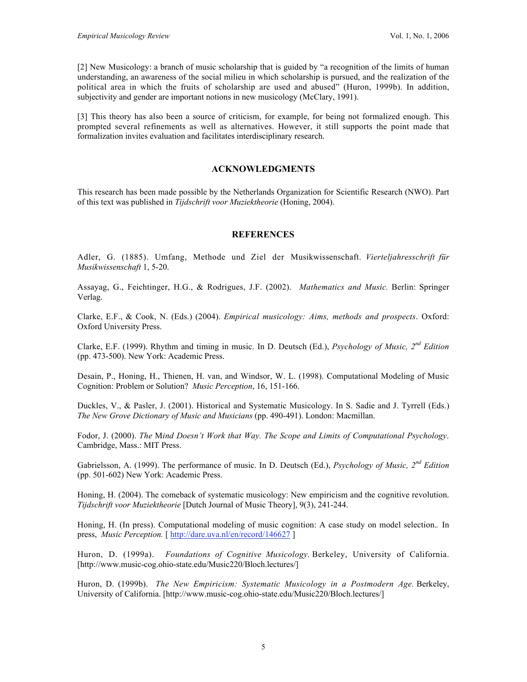[2] New Musicology: a branch of music scholarship that is guided by "a recognition of the limits of human understanding, an awareness of the social milieu in which scholarship is pursued, and the realization of the political area in which the fruits of scholarship are used and abused" (Huron, 1999b). In addition, subjectivity and gender are important notions in new musicology (McClary, 1991).

[3] This theory has also been a source of criticism, for example, for being not formalized enough. This prompted several refinements as well as alternatives. However, it still supports the point made that formalization invites evaluation and facilitates interdisciplinary research.

# ACKNOWLEDGMENTS

This research has been made possible by the Netherlands Organization for Scientific Research (NWO). Part of this text was published in *Tijdschrift voor Muziektheorie* (Honing, 2004).

# **REFERENCES**

Adler, G. (1885). Umfang, Methode und Ziel der Musikwissenschaft. *Vierteljahresschrift für Musikwissenschaft* 1, 5-20.

Assayag, G., Feichtinger, H.G., & Rodrigues, J.F. (2002). *Mathematics and Music.* Berlin: Springer Verlag.

Clarke, E.F., & Cook, N. (Eds.) (2004). *Empirical musicology: Aims, methods and prospects*. Oxford: Oxford University Press.

Clarke, E.F. (1999). Rhythm and timing in music. In D. Deutsch (Ed.), *Psychology of Music, 2nd Edition* (pp. 473-500). New York: Academic Press.

Desain, P., Honing, H., Thienen, H. van, and Windsor, W. L. (1998). Computational Modeling of Music Cognition: Problem or Solution? *Music Perception*, 16, 151-166.

Duckles, V., & Pasler, J. (2001). Historical and Systematic Musicology. In S. Sadie and J. Tyrrell (Eds.) *The New Grove Dictionary of Music and Musicians* (pp. 490-491). London: Macmillan.

Fodor, J. (2000). *The* M*ind Doesn't Work that Way. The Scope and Limits of Computational Psychology*. Cambridge, Mass.: MIT Press.

Gabrielsson, A. (1999). The performance of music. In D. Deutsch (Ed.), *Psychology of Music, 2nd Edition* (pp. 501-602) New York: Academic Press.

Honing, H. (2004). The comeback of systematic musicology: New empiricism and the cognitive revolution. *Tijdschrift voor Muziektheorie* [Dutch Journal of Music Theory], 9(3), 241-244.

Honing, H. (In press). Computational modeling of music cognition: A case study on model selection.*.* In press, *Music Perception.* [ http://dare.uva.nl/en/record/146627 ]

Huron, D. (1999a). *Foundations of Cognitive Musicology.* Berkeley, University of California. [http://www.music-cog.ohio-state.edu/Music220/Bloch.lectures/]

Huron, D. (1999b). *The New Empiricism: Systematic Musicology in a Postmodern Age.* Berkeley, University of California. [http://www.music-cog.ohio-state.edu/Music220/Bloch.lectures/]